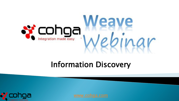

## **Information Discovery**

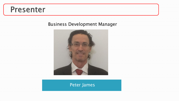#### Presenter

#### Business Development Manager



#### Peter James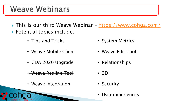### **Weave Webinars**

- This is our third Weave Webinar <https://www.cohga.com/> ▶ Potential topics include:
	- Tips and Tricks
	- Weave Mobile Client
	- GDA 2020 Upgrade
	- Weave Redline Tool
	- Weave Integration
- System Metrics
- Weave Edit Tool
- Relationships
- 3D
- Security
- User experiences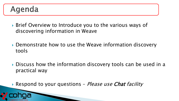### Agenda

- ▶ Brief Overview to Introduce you to the various ways of discovering information in Weave
- ▶ Demonstrate how to use the Weave information discovery tools
- ▶ Discuss how the information discovery tools can be used in a practical way
- Respond to your questions *Please use Chat facility*

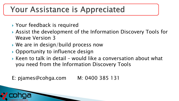## Your Assistance is Appreciated

- ▶ Your feedback is required
- Assist the development of the Information Discovery Tools for Weave Version 3
- ▶ We are in design/build process now
- ▶ Opportunity to influence design
- $\triangleright$  Keen to talk in detail would like a conversation about what you need from the Information Discovery Tools
- E: pjames@cohga.com M: 0400 385 131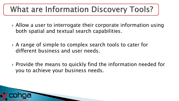## **What are Information Discovery Tools?**

- ▶ Allow a user to interrogate their corporate information using both spatial and textual search capabilities.
- ▶ A range of simple to complex search tools to cater for different business and user needs.
- ▶ Provide the means to quickly find the information needed for you to achieve your business needs.

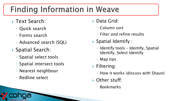## **Finding Information in Weave**

- ▶ Text Search:
	- Quick search
	- Forms search
	- Advanced search (SQL)
- ▶ Spatial Search:
	- Spatial select tools
	- Spatial intersect tools
	- Nearest neighbour
	- Redline select
- ▶ Data Grid:
	- Column sort
	- Filter and refine results
- ▶ Spatial Identify :
	- Identify tools Identify, Spatial Identify, Select Identify
	- Map tips
- ▶ Filtering:
	- How it works (discuss with Shaun)
- ▶ Other stuff:
	- Bookmarks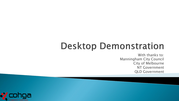# **Desktop Demonstration**

With thanks to: Manningham City Council City of Melbourne NT Government QLD Government

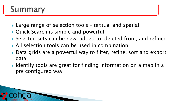## Summary

- ▶ Large range of selection tools textual and spatial
- ▶ Quick Search is simple and powerful
- Selected sets can be new, added to, deleted from, and refined
- All selection tools can be used in combination
- ▶ Data grids are a powerful way to filter, refine, sort and export data
- ▶ Identify tools are great for finding information on a map in a pre configured way

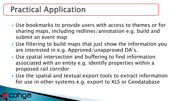## **Practical Application**

- ▶ Use bookmarks to provide users with access to themes or for sharing maps, including redlines/annotation e.g. build and submit an event map
- Use filtering to build maps that just show the information you are interested in e.g. Approved/unapproved DA's.
- Use spatial intersection and buffering to find information associated with an entity e.g. identify properties within a proposed rail corridor
- Use the spatial and textual export tools to extract information for use in other systems e.g. export to XLS or Geodatabase